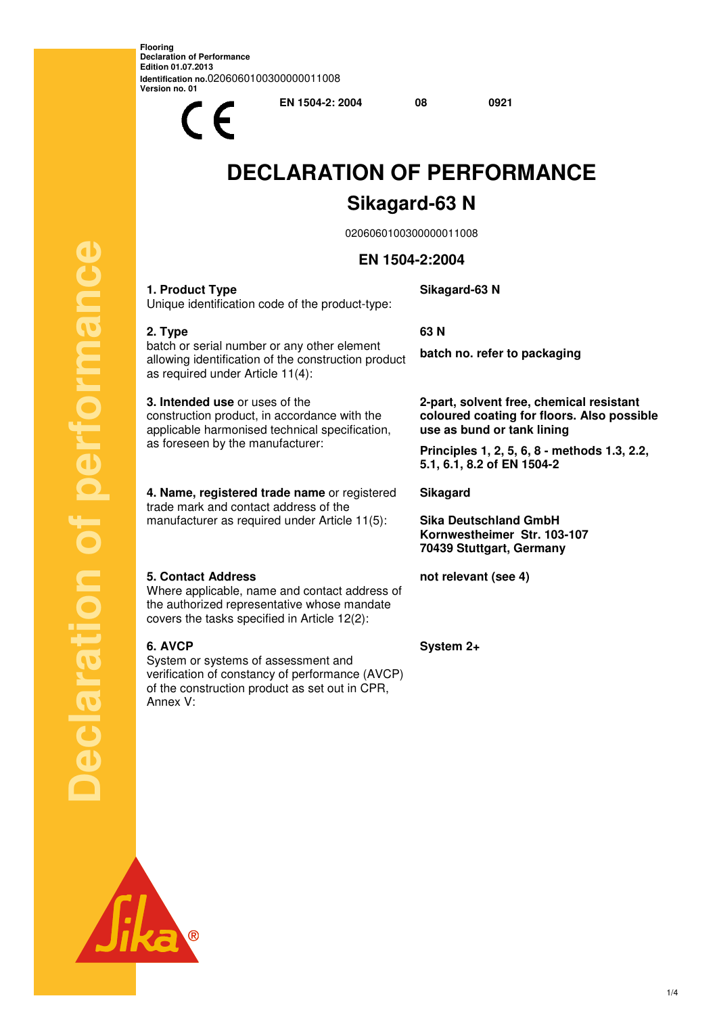**Flooring Declaration of Performance Edition 01.07.2013 Identification no.**0206060100300000011008 **Version no. 01** 

 $\epsilon$ 

**EN 1504-2: 2004 08 0921** 

# **DECLARATION OF PERFORMANCE Sikagard-63 N**

0206060100300000011008

# **EN 1504-2:2004**

**Sikagard-63 N** 

## Unique identification code of the product-type:

**1. Product Type** 

**2. Type** 

### **63 N**

batch or serial number or any other element allowing identification of the construction product as required under Article 11(4):

**3. Intended use** or uses of the construction product, in accordance with the applicable harmonised technical specification, as foreseen by the manufacturer:

**4. Name, registered trade name** or registered trade mark and contact address of the manufacturer as required under Article 11(5):

#### **5. Contact Address**

Where applicable, name and contact address of the authorized representative whose mandate covers the tasks specified in Article 12(2):

#### **6. AVCP**

**Declaration of performance**

Ö

polaration

performance

System or systems of assessment and verification of constancy of performance (AVCP) of the construction product as set out in CPR, Annex V:

**batch no. refer to packaging** 

**2-part, solvent free, chemical resistant coloured coating for floors. Also possible use as bund or tank lining** 

**Principles 1, 2, 5, 6, 8 - methods 1.3, 2.2, 5.1, 6.1, 8.2 of EN 1504-2**

**Sikagard** 

**Sika Deutschland GmbH Kornwestheimer Str. 103-107 70439 Stuttgart, Germany**

**not relevant (see 4)** 

**System 2+** 

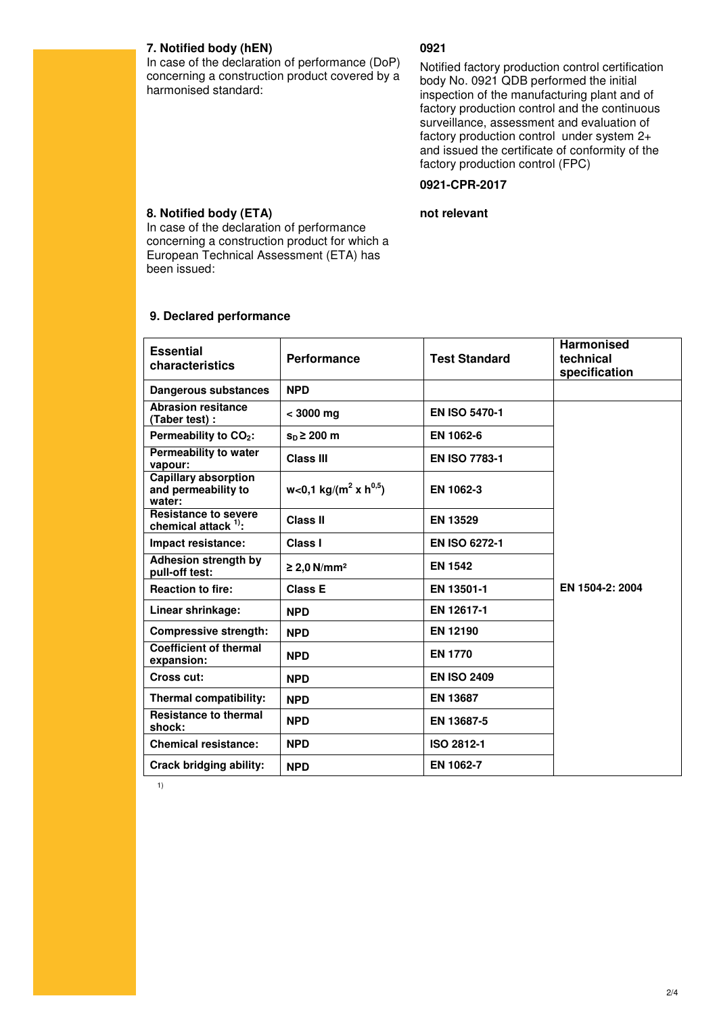#### **7. Notified body (hEN)**

#### **0921**

In case of the declaration of performance (DoP) concerning a construction product covered by a harmonised standard:

Notified factory production control certification body No. 0921 QDB performed the initial inspection of the manufacturing plant and of factory production control and the continuous surveillance, assessment and evaluation of factory production control under system 2+ and issued the certificate of conformity of the factory production control (FPC)

#### **0921-CPR-2017**

#### **not relevant**

**8. Notified body (ETA)**  In case of the declaration of performance concerning a construction product for which a European Technical Assessment (ETA) has been issued:

# **9. Declared performance**

| <b>Essential</b><br>characteristics                          | <b>Performance</b>                            | <b>Test Standard</b> | <b>Harmonised</b><br>technical<br>specification |
|--------------------------------------------------------------|-----------------------------------------------|----------------------|-------------------------------------------------|
| <b>Dangerous substances</b>                                  | <b>NPD</b>                                    |                      |                                                 |
| <b>Abrasion resitance</b><br>(Taber test):                   | $< 3000$ mg                                   | <b>EN ISO 5470-1</b> |                                                 |
| Permeability to CO <sub>2</sub> :                            | $sD \ge 200$ m                                | EN 1062-6            |                                                 |
| Permeability to water<br>vapour:                             | <b>Class III</b>                              | <b>EN ISO 7783-1</b> |                                                 |
| <b>Capillary absorption</b><br>and permeability to<br>water: | w<0,1 kg/(m <sup>2</sup> x h <sup>0,5</sup> ) | EN 1062-3            |                                                 |
| <b>Resistance to severe</b><br>chemical attack $1$ .         | <b>Class II</b>                               | <b>EN 13529</b>      |                                                 |
| Impact resistance:                                           | Class I                                       | <b>EN ISO 6272-1</b> |                                                 |
| Adhesion strength by<br>pull-off test:                       | ≥ 2,0 N/mm <sup>2</sup>                       | <b>EN 1542</b>       |                                                 |
| <b>Reaction to fire:</b>                                     | <b>Class E</b>                                | EN 13501-1           | EN 1504-2: 2004                                 |
| Linear shrinkage:                                            | <b>NPD</b>                                    | EN 12617-1           |                                                 |
| <b>Compressive strength:</b>                                 | <b>NPD</b>                                    | <b>EN 12190</b>      |                                                 |
| <b>Coefficient of thermal</b><br>expansion:                  | <b>NPD</b>                                    | <b>EN 1770</b>       |                                                 |
| Cross cut:                                                   | <b>NPD</b>                                    | <b>EN ISO 2409</b>   |                                                 |
| Thermal compatibility:                                       | <b>NPD</b>                                    | <b>EN 13687</b>      |                                                 |
| <b>Resistance to thermal</b><br>shock:                       | <b>NPD</b>                                    | EN 13687-5           |                                                 |
| <b>Chemical resistance:</b>                                  | <b>NPD</b>                                    | <b>ISO 2812-1</b>    |                                                 |
| Crack bridging ability:                                      | <b>NPD</b>                                    | EN 1062-7            |                                                 |

1)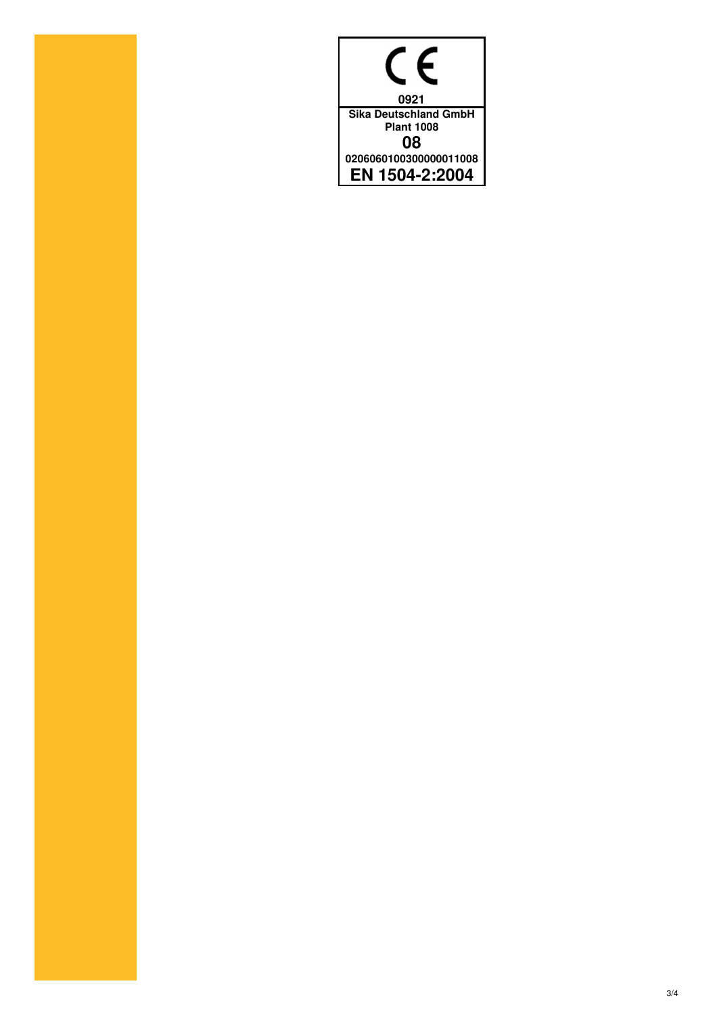